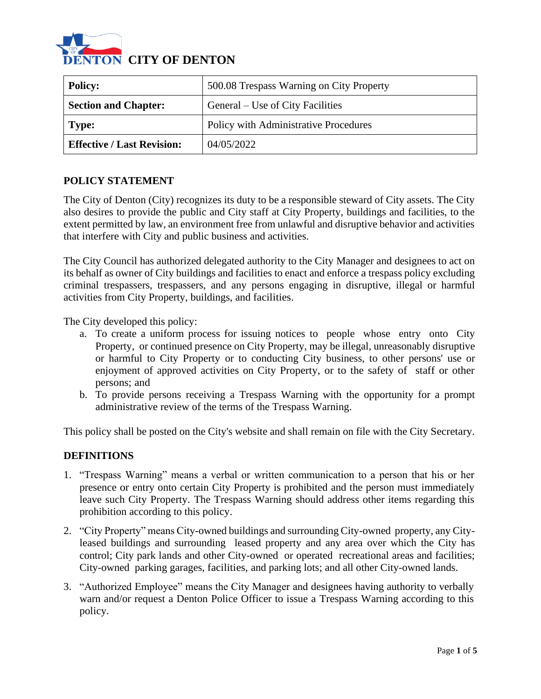

| <b>Policy:</b>                    | 500.08 Trespass Warning on City Property |
|-----------------------------------|------------------------------------------|
| <b>Section and Chapter:</b>       | General – Use of City Facilities         |
| Type:                             | Policy with Administrative Procedures    |
| <b>Effective / Last Revision:</b> | 04/05/2022                               |

### **POLICY STATEMENT**

The City of Denton (City) recognizes its duty to be a responsible steward of City assets. The City also desires to provide the public and City staff at City Property, buildings and facilities, to the extent permitted by law, an environment free from unlawful and disruptive behavior and activities that interfere with City and public business and activities.

The City Council has authorized delegated authority to the City Manager and designees to act on its behalf as owner of City buildings and facilities to enact and enforce a trespass policy excluding criminal trespassers, trespassers, and any persons engaging in disruptive, illegal or harmful activities from City Property, buildings, and facilities.

The City developed this policy:

- a. To create a uniform process for issuing notices to people whose entry onto City Property, or continued presence on City Property, may be illegal, unreasonably disruptive or harmful to City Property or to conducting City business, to other persons' use or enjoyment of approved activities on City Property, or to the safety of staff or other persons; and
- b. To provide persons receiving a Trespass Warning with the opportunity for a prompt administrative review of the terms of the Trespass Warning.

This policy shall be posted on the City's website and shall remain on file with the City Secretary.

#### **DEFINITIONS**

- 1. "Trespass Warning" means a verbal or written communication to a person that his or her presence or entry onto certain City Property is prohibited and the person must immediately leave such City Property. The Trespass Warning should address other items regarding this prohibition according to this policy.
- 2. "City Property" means City-owned buildings and surrounding City-owned property, any Cityleased buildings and surrounding leased property and any area over which the City has control; City park lands and other City-owned or operated recreational areas and facilities; City-owned parking garages, facilities, and parking lots; and all other City-owned lands.
- 3. "Authorized Employee" means the City Manager and designees having authority to verbally warn and/or request a Denton Police Officer to issue a Trespass Warning according to this policy.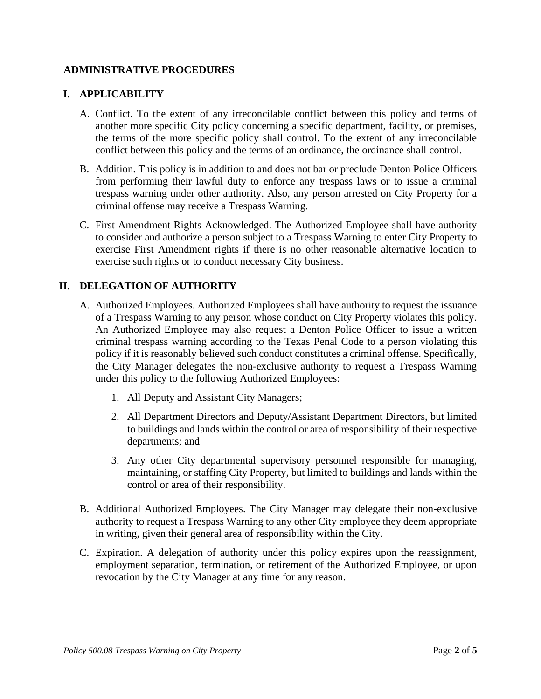### **ADMINISTRATIVE PROCEDURES**

#### **I. APPLICABILITY**

- A. Conflict. To the extent of any irreconcilable conflict between this policy and terms of another more specific City policy concerning a specific department, facility, or premises, the terms of the more specific policy shall control. To the extent of any irreconcilable conflict between this policy and the terms of an ordinance, the ordinance shall control.
- B. Addition. This policy is in addition to and does not bar or preclude Denton Police Officers from performing their lawful duty to enforce any trespass laws or to issue a criminal trespass warning under other authority. Also, any person arrested on City Property for a criminal offense may receive a Trespass Warning.
- C. First Amendment Rights Acknowledged. The Authorized Employee shall have authority to consider and authorize a person subject to a Trespass Warning to enter City Property to exercise First Amendment rights if there is no other reasonable alternative location to exercise such rights or to conduct necessary City business.

### **II. DELEGATION OF AUTHORITY**

- A. Authorized Employees. Authorized Employees shall have authority to request the issuance of a Trespass Warning to any person whose conduct on City Property violates this policy. An Authorized Employee may also request a Denton Police Officer to issue a written criminal trespass warning according to the Texas Penal Code to a person violating this policy if it is reasonably believed such conduct constitutes a criminal offense. Specifically, the City Manager delegates the non-exclusive authority to request a Trespass Warning under this policy to the following Authorized Employees:
	- 1. All Deputy and Assistant City Managers;
	- 2. All Department Directors and Deputy/Assistant Department Directors, but limited to buildings and lands within the control or area of responsibility of their respective departments; and
	- 3. Any other City departmental supervisory personnel responsible for managing, maintaining, or staffing City Property, but limited to buildings and lands within the control or area of their responsibility.
- B. Additional Authorized Employees. The City Manager may delegate their non-exclusive authority to request a Trespass Warning to any other City employee they deem appropriate in writing, given their general area of responsibility within the City.
- C. Expiration. A delegation of authority under this policy expires upon the reassignment, employment separation, termination, or retirement of the Authorized Employee, or upon revocation by the City Manager at any time for any reason.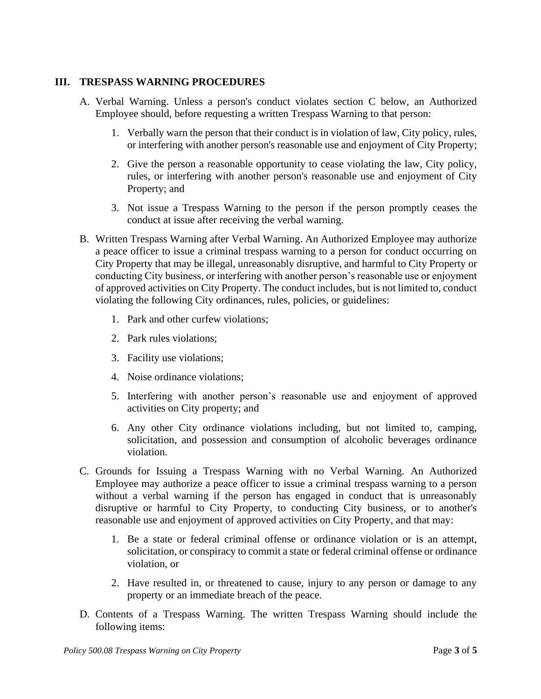### **III. TRESPASS WARNING PROCEDURES**

- A. Verbal Warning. Unless a person's conduct violates section C below, an Authorized Employee should, before requesting a written Trespass Warning to that person:
	- 1. Verbally warn the person that their conduct is in violation of law, City policy, rules, or interfering with another person's reasonable use and enjoyment of City Property;
	- 2. Give the person a reasonable opportunity to cease violating the law, City policy, rules, or interfering with another person's reasonable use and enjoyment of City Property; and
	- 3. Not issue a Trespass Warning to the person if the person promptly ceases the conduct at issue after receiving the verbal warning.
- B. Written Trespass Warning after Verbal Warning. An Authorized Employee may authorize a peace officer to issue a criminal trespass warning to a person for conduct occurring on City Property that may be illegal, unreasonably disruptive, and harmful to City Property or conducting City business, or interfering with another person's reasonable use or enjoyment of approved activities on City Property. The conduct includes, but is not limited to, conduct violating the following City ordinances, rules, policies, or guidelines:
	- 1. Park and other curfew violations;
	- 2. Park rules violations;
	- 3. Facility use violations;
	- 4. Noise ordinance violations;
	- 5. Interfering with another person's reasonable use and enjoyment of approved activities on City property; and
	- 6. Any other City ordinance violations including, but not limited to, camping, solicitation, and possession and consumption of alcoholic beverages ordinance violation.
- C. Grounds for Issuing a Trespass Warning with no Verbal Warning. An Authorized Employee may authorize a peace officer to issue a criminal trespass warning to a person without a verbal warning if the person has engaged in conduct that is unreasonably disruptive or harmful to City Property, to conducting City business, or to another's reasonable use and enjoyment of approved activities on City Property, and that may:
	- 1. Be a state or federal criminal offense or ordinance violation or is an attempt, solicitation, or conspiracy to commit a state or federal criminal offense or ordinance violation, or
	- 2. Have resulted in, or threatened to cause, injury to any person or damage to any property or an immediate breach of the peace.
- D. Contents of a Trespass Warning. The written Trespass Warning should include the following items: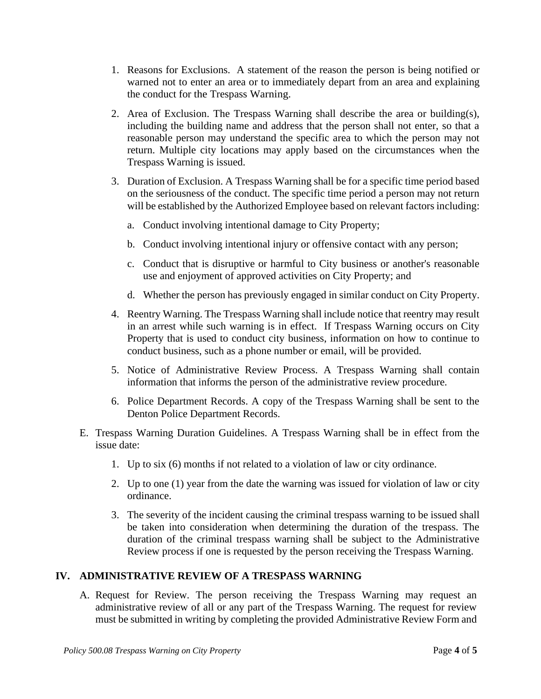- 1. Reasons for Exclusions. A statement of the reason the person is being notified or warned not to enter an area or to immediately depart from an area and explaining the conduct for the Trespass Warning.
- 2. Area of Exclusion. The Trespass Warning shall describe the area or building(s), including the building name and address that the person shall not enter, so that a reasonable person may understand the specific area to which the person may not return. Multiple city locations may apply based on the circumstances when the Trespass Warning is issued.
- 3. Duration of Exclusion. A Trespass Warning shall be for a specific time period based on the seriousness of the conduct. The specific time period a person may not return will be established by the Authorized Employee based on relevant factors including:
	- a. Conduct involving intentional damage to City Property;
	- b. Conduct involving intentional injury or offensive contact with any person;
	- c. Conduct that is disruptive or harmful to City business or another's reasonable use and enjoyment of approved activities on City Property; and
	- d. Whether the person has previously engaged in similar conduct on City Property.
- 4. Reentry Warning. The Trespass Warning shall include notice that reentry may result in an arrest while such warning is in effect. If Trespass Warning occurs on City Property that is used to conduct city business, information on how to continue to conduct business, such as a phone number or email, will be provided.
- 5. Notice of Administrative Review Process. A Trespass Warning shall contain information that informs the person of the administrative review procedure.
- 6. Police Department Records. A copy of the Trespass Warning shall be sent to the Denton Police Department Records.
- E. Trespass Warning Duration Guidelines. A Trespass Warning shall be in effect from the issue date:
	- 1. Up to six (6) months if not related to a violation of law or city ordinance.
	- 2. Up to one (1) year from the date the warning was issued for violation of law or city ordinance.
	- 3. The severity of the incident causing the criminal trespass warning to be issued shall be taken into consideration when determining the duration of the trespass. The duration of the criminal trespass warning shall be subject to the Administrative Review process if one is requested by the person receiving the Trespass Warning.

# **IV. ADMINISTRATIVE REVIEW OF A TRESPASS WARNING**

A. Request for Review. The person receiving the Trespass Warning may request an administrative review of all or any part of the Trespass Warning. The request for review must be submitted in writing by completing the provided Administrative Review Form and